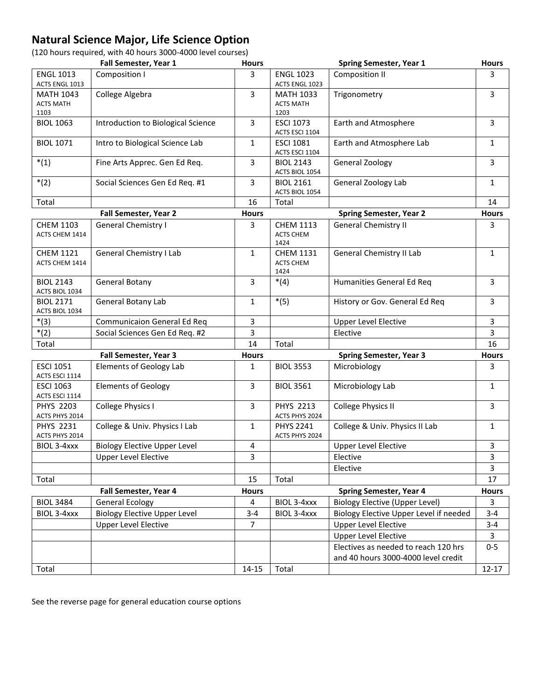## **Natural Science Major, Life Science Option**

(120 hours required, with 40 hours 3000-4000 level courses)

|                                              | Fall Semester, Year 1               | <b>Hours</b> |                                              | <b>Spring Semester, Year 1</b>                                              | <b>Hours</b>   |
|----------------------------------------------|-------------------------------------|--------------|----------------------------------------------|-----------------------------------------------------------------------------|----------------|
| <b>ENGL 1013</b><br>ACTS ENGL 1013           | Composition I                       | 3            | <b>ENGL 1023</b><br>ACTS ENGL 1023           | Composition II                                                              | 3              |
| <b>MATH 1043</b><br><b>ACTS MATH</b><br>1103 | College Algebra                     | 3            | <b>MATH 1033</b><br><b>ACTS MATH</b><br>1203 | Trigonometry                                                                | 3              |
| <b>BIOL 1063</b>                             | Introduction to Biological Science  | 3            | <b>ESCI 1073</b><br>ACTS ESCI 1104           | Earth and Atmosphere                                                        | 3              |
| <b>BIOL 1071</b>                             | Intro to Biological Science Lab     | 1            | <b>ESCI 1081</b><br>ACTS ESCI 1104           | Earth and Atmosphere Lab                                                    | $\mathbf{1}$   |
| $*(1)$                                       | Fine Arts Apprec. Gen Ed Req.       | 3            | <b>BIOL 2143</b><br>ACTS BIOL 1054           | General Zoology                                                             | $\overline{3}$ |
| $*(2)$                                       | Social Sciences Gen Ed Req. #1      | 3            | <b>BIOL 2161</b><br>ACTS BIOL 1054           | General Zoology Lab                                                         | 1              |
| Total                                        |                                     | 16           | Total                                        |                                                                             | 14             |
|                                              | Fall Semester, Year 2               | <b>Hours</b> |                                              | <b>Spring Semester, Year 2</b>                                              | <b>Hours</b>   |
| <b>CHEM 1103</b><br>ACTS CHEM 1414           | General Chemistry I                 | 3            | <b>CHEM 1113</b><br><b>ACTS CHEM</b><br>1424 | <b>General Chemistry II</b>                                                 | 3              |
| <b>CHEM 1121</b><br>ACTS CHEM 1414           | General Chemistry I Lab             | 1            | <b>CHEM 1131</b><br><b>ACTS CHEM</b><br>1424 | General Chemistry II Lab                                                    | 1              |
| <b>BIOL 2143</b><br>ACTS BIOL 1034           | General Botany                      | 3            | $*(4)$                                       | Humanities General Ed Req                                                   | 3              |
| <b>BIOL 2171</b><br>ACTS BIOL 1034           | <b>General Botany Lab</b>           | $\mathbf{1}$ | $*(5)$                                       | History or Gov. General Ed Req                                              | $\overline{3}$ |
| $*(3)$                                       | <b>Communicaion General Ed Req</b>  | 3            |                                              | <b>Upper Level Elective</b>                                                 | $\overline{3}$ |
| $*(2)$                                       | Social Sciences Gen Ed Req. #2      | 3            |                                              | Elective                                                                    | 3              |
| Total                                        |                                     | 14           | Total                                        |                                                                             | 16             |
|                                              | Fall Semester, Year 3               | <b>Hours</b> |                                              | <b>Spring Semester, Year 3</b>                                              | <b>Hours</b>   |
| <b>ESCI 1051</b><br>ACTS ESCI 1114           | <b>Elements of Geology Lab</b>      | 1            | <b>BIOL 3553</b>                             | Microbiology                                                                | 3              |
| <b>ESCI 1063</b><br>ACTS ESCI 1114           | <b>Elements of Geology</b>          | 3            | <b>BIOL 3561</b>                             | Microbiology Lab                                                            | $\mathbf{1}$   |
| <b>PHYS 2203</b><br>ACTS PHYS 2014           | College Physics I                   | 3            | <b>PHYS 2213</b><br>ACTS PHYS 2024           | College Physics II                                                          | $\overline{3}$ |
| <b>PHYS 2231</b><br>ACTS PHYS 2014           | College & Univ. Physics I Lab       | $\mathbf{1}$ | <b>PHYS 2241</b><br>ACTS PHYS 2024           | College & Univ. Physics II Lab                                              | $\mathbf{1}$   |
| BIOL 3-4xxx                                  | <b>Biology Elective Upper Level</b> | 4            |                                              | <b>Upper Level Elective</b>                                                 | 3              |
|                                              | <b>Upper Level Elective</b>         | 3            |                                              | Elective                                                                    | 3              |
|                                              |                                     |              |                                              | Elective                                                                    | 3              |
| Total                                        |                                     | 15           | Total                                        |                                                                             | 17             |
|                                              | Fall Semester, Year 4               | <b>Hours</b> |                                              | <b>Spring Semester, Year 4</b>                                              | <b>Hours</b>   |
| <b>BIOL 3484</b>                             | <b>General Ecology</b>              | 4            | BIOL 3-4xxx                                  | <b>Biology Elective (Upper Level)</b>                                       | 3              |
| BIOL 3-4xxx                                  | <b>Biology Elective Upper Level</b> | $3 - 4$      | BIOL 3-4xxx                                  | Biology Elective Upper Level if needed                                      | $3 - 4$        |
|                                              | <b>Upper Level Elective</b>         | 7            |                                              | <b>Upper Level Elective</b>                                                 | $3 - 4$        |
|                                              |                                     |              |                                              | <b>Upper Level Elective</b>                                                 | 3              |
|                                              |                                     |              |                                              | Electives as needed to reach 120 hrs<br>and 40 hours 3000-4000 level credit | $0-5$          |
| Total                                        |                                     | 14-15        | Total                                        |                                                                             | $12 - 17$      |

See the reverse page for general education course options